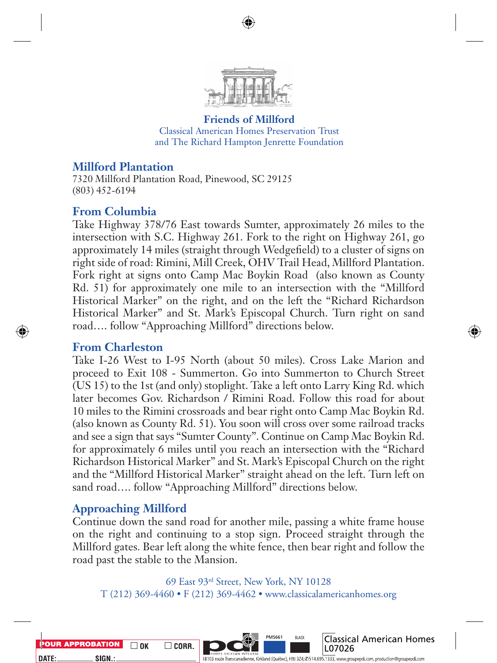

**Friends of Millford** Classical American Homes Preservation Trust and The Richard Hampton Jenrette Foundation

## **Millford Plantation**

7320 Millford Plantation Road, Pinewood, SC 29125 (803) 452-6194

## **From Columbia**

Take Highway 378/76 East towards Sumter, approximately 26 miles to the intersection with S.C. Highway 261. Fork to the right on Highway 261, go approximately 14 miles (straight through Wedgefield) to a cluster of signs on right side of road: Rimini, Mill Creek, OHV Trail Head, Millford Plantation. Fork right at signs onto Camp Mac Boykin Road (also known as County Rd. 51) for approximately one mile to an intersection with the "Millford Historical Marker" on the right, and on the left the "Richard Richardson Historical Marker" and St. Mark's Episcopal Church. Turn right on sand road…. follow "Approaching Millford" directions below.

## **From Charleston**

Take I-26 West to I-95 North (about 50 miles). Cross Lake Marion and proceed to Exit 108 - Summerton. Go into Summerton to Church Street (US 15) to the 1st (and only) stoplight. Take a left onto Larry King Rd. which later becomes Gov. Richardson / Rimini Road. Follow this road for about 10 miles to the Rimini crossroads and bear right onto Camp Mac Boykin Rd. (also known as County Rd. 51). You soon will cross over some railroad tracks and see a sign that says "Sumter County". Continue on Camp Mac Boykin Rd. for approximately 6 miles until you reach an intersection with the "Richard Richardson Historical Marker" and St. Mark's Episcopal Church on the right and the "Millford Historical Marker" straight ahead on the left. Turn left on sand road.... follow "Approaching Millford" directions below.

## **Approaching Millford**

Continue down the sand road for another mile, passing a white frame house on the right and continuing to a stop sign. Proceed straight through the Millford gates. Bear left along the white fence, then bear right and follow the road past the stable to the Mansion.

69 East 93rd Street, New York, NY 10128 T (212) 369-4460 • F (212) 369-4462 • www.classicalamericanhomes.org